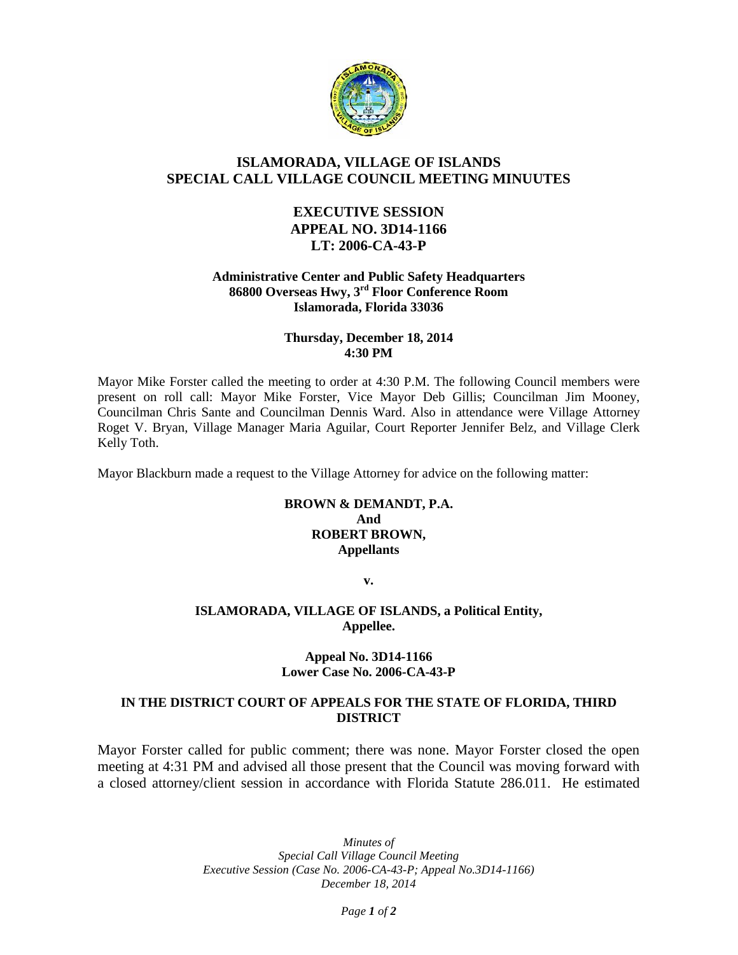

# **ISLAMORADA, VILLAGE OF ISLANDS SPECIAL CALL VILLAGE COUNCIL MEETING MINUUTES**

# **EXECUTIVE SESSION APPEAL NO. 3D14-1166 LT: 2006-CA-43-P**

### **Administrative Center and Public Safety Headquarters 86800 Overseas Hwy, 3rd Floor Conference Room Islamorada, Florida 33036**

### **Thursday, December 18, 2014 4:30 PM**

Mayor Mike Forster called the meeting to order at 4:30 P.M. The following Council members were present on roll call: Mayor Mike Forster, Vice Mayor Deb Gillis; Councilman Jim Mooney, Councilman Chris Sante and Councilman Dennis Ward. Also in attendance were Village Attorney Roget V. Bryan, Village Manager Maria Aguilar, Court Reporter Jennifer Belz, and Village Clerk Kelly Toth.

Mayor Blackburn made a request to the Village Attorney for advice on the following matter:

## **BROWN & DEMANDT, P.A. And ROBERT BROWN, Appellants**

**v.**

## **ISLAMORADA, VILLAGE OF ISLANDS, a Political Entity, Appellee.**

### **Appeal No. 3D14-1166 Lower Case No. 2006-CA-43-P**

## **IN THE DISTRICT COURT OF APPEALS FOR THE STATE OF FLORIDA, THIRD DISTRICT**

Mayor Forster called for public comment; there was none. Mayor Forster closed the open meeting at 4:31 PM and advised all those present that the Council was moving forward with a closed attorney/client session in accordance with Florida Statute 286.011. He estimated

> *Minutes of Special Call Village Council Meeting Executive Session (Case No. 2006-CA-43-P; Appeal No.3D14-1166) December 18, 2014*